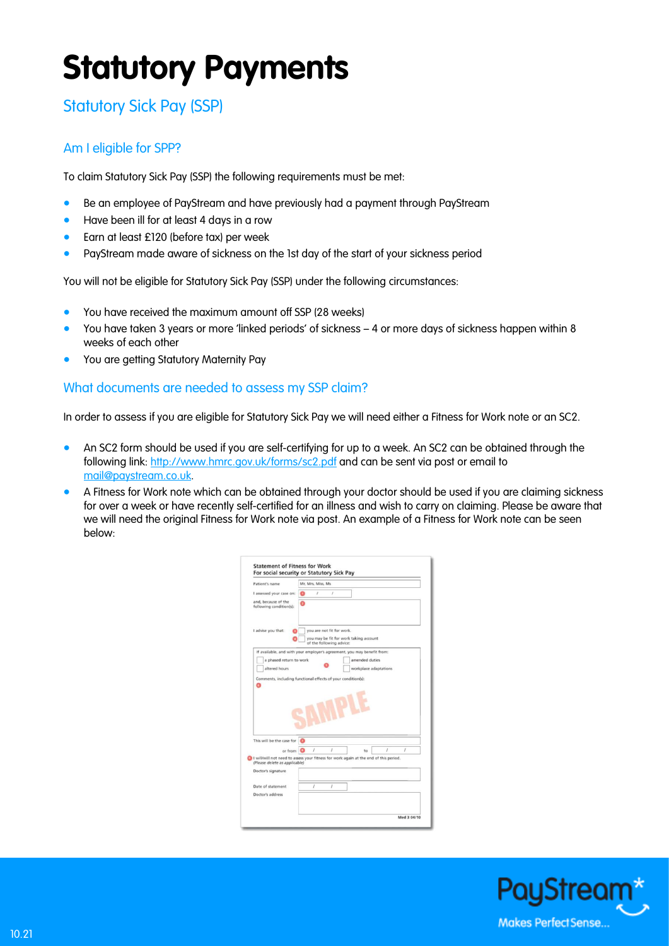# **Statutory Payments**

# Statutory Sick Pay (SSP)

## Am I eligible for SPP?

To claim Statutory Sick Pay (SSP) the following requirements must be met:

- Be an employee of PayStream and have previously had a payment through PayStream
- Have been ill for at least 4 days in a row
- Earn at least £120 (before tax) per week
- PayStream made aware of sickness on the 1st day of the start of your sickness period

You will not be eligible for Statutory Sick Pay (SSP) under the following circumstances:

- You have received the maximum amount off SSP (28 weeks)
- You have taken 3 years or more 'linked periods' of sickness 4 or more days of sickness happen within 8 weeks of each other
- You are getting Statutory Maternity Pay

### What documents are needed to assess my SSP claim?

In order to assess if you are eligible for Statutory Sick Pay we will need either a Fitness for Work note or an SC2.

- An SC2 form should be used if you are self-certifying for up to a week. An SC2 can be obtained through the following link:<http://www.hmrc.gov.uk/forms/sc2.pdf> and can be sent via post or email to [mail@paystream.co.uk.](file://ps-fs01/pdrive/SALES/Marketing%20General/PayStream/Literature/New%20literature/mail@paystream.co.uk)
- A Fitness for Work note which can be obtained through your doctor should be used if you are claiming sickness for over a week or have recently self-certified for an illness and wish to carry on claiming. Please be aware that we will need the original Fitness for Work note via post. An example of a Fitness for Work note can be seen below:

| Patient's name                                                                                                         | Mr. Mrs. Miss. Ms. |                                                       |                                        |                |                       |          |
|------------------------------------------------------------------------------------------------------------------------|--------------------|-------------------------------------------------------|----------------------------------------|----------------|-----------------------|----------|
| I assessed your case on:                                                                                               | 1                  | $\overline{1}$                                        |                                        |                |                       |          |
| and, because of the<br>following condition(s):                                                                         |                    |                                                       |                                        |                |                       |          |
| I advise you that:                                                                                                     |                    | you are not fit for work.<br>of the following advice: | you may be fit for work taking account |                |                       |          |
| If available, and with your employer's agreement, you may benefit from:                                                |                    |                                                       |                                        |                |                       |          |
| a phased return to work                                                                                                |                    |                                                       |                                        | amended duties |                       |          |
|                                                                                                                        |                    |                                                       |                                        |                |                       |          |
| altered hours                                                                                                          |                    |                                                       |                                        |                | workplace adaptations |          |
| Comments, including functional effects of your condition(s):                                                           |                    |                                                       |                                        |                |                       |          |
|                                                                                                                        |                    |                                                       |                                        |                |                       |          |
|                                                                                                                        |                    |                                                       |                                        |                |                       |          |
|                                                                                                                        |                    |                                                       |                                        |                |                       |          |
|                                                                                                                        |                    |                                                       |                                        |                |                       |          |
|                                                                                                                        |                    |                                                       |                                        |                |                       |          |
|                                                                                                                        |                    |                                                       |                                        |                |                       |          |
|                                                                                                                        |                    |                                                       |                                        |                |                       |          |
| This will be the case for                                                                                              |                    |                                                       |                                        |                |                       |          |
| or from $\bigcirc$                                                                                                     | I                  | $\prime$                                              |                                        | to             | 1                     | $\prime$ |
| I will/will not need to assess your fitness for work again at the end of this period.<br>(Please delete as applicable) |                    |                                                       |                                        |                |                       |          |
|                                                                                                                        |                    |                                                       |                                        |                |                       |          |
| Doctor's signature                                                                                                     |                    |                                                       |                                        |                |                       |          |
| Date of statement                                                                                                      | I                  | 1                                                     |                                        |                |                       |          |
| Doctor's address                                                                                                       |                    |                                                       |                                        |                |                       |          |